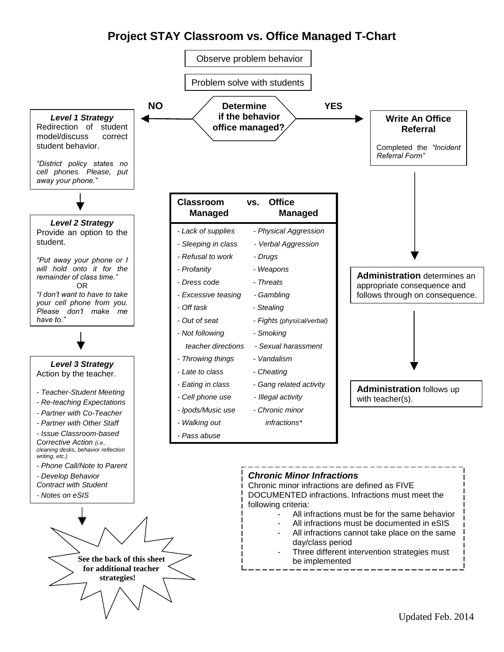## **Project STAY Classroom vs. Office Managed T-Chart**